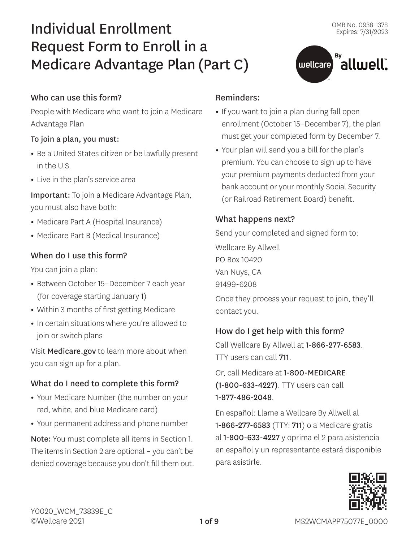állwell".

# Individual Enrollment Request Form to Enroll in a Medicare Advantage Plan (Part C)

# Who can use this form?

People with Medicare who want to join a Medicare Advantage Plan

#### To join a plan, you must:

- **•** Be a United States citizen or be lawfully present in the U.S.
- **•** Live in the plan's service area

Important: To join a Medicare Advantage Plan, you must also have both:

- **•** Medicare Part A (Hospital Insurance)
- **•** Medicare Part B (Medical Insurance)

# When do I use this form?

You can join a plan:

- **•** Between October 15–December 7 each year (for coverage starting January 1)
- **•** Within 3 months of first getting Medicare
- **•** In certain situations where you're allowed to join or switch plans

Visit [Medicare.gov](http://Medicare.gov) to learn more about when you can sign up for a plan.

# What do I need to complete this form?

- **•** Your Medicare Number (the number on your red, white, and blue Medicare card)
- **•** Your permanent address and phone number

Note: You must complete all items in Section 1. The items in Section 2 are optional – you can't be denied coverage because you don't fill them out.

#### Reminders:

**•** If you want to join a plan during fall open enrollment (October 15–December 7), the plan must get your completed form by December 7.

 $\left($  wellcare  $\right)$ 

**•** Your plan will send you a bill for the plan's premium. You can choose to sign up to have your premium payments deducted from your bank account or your monthly Social Security (or Railroad Retirement Board) benefit.

#### What happens next?

Send your completed and signed form to: Wellcare By Allwell PO Box 10420

Van Nuys, CA

91499-6208

Once they process your request to join, they'll contact you.

# How do I get help with this form?

Call Wellcare By Allwell at 1-866-277-6583. TTY users can call 711.

Or, call Medicare at 1-800-MEDICARE (1-800-633-4227). TTY users can call 1-877-486-2048.

En español: Llame a Wellcare By Allwell al 1-866-277-6583 (TTY: 711) o a Medicare gratis al 1-800-633-4227 y oprima el 2 para asistencia en español y un representante estará disponible para asistirle.

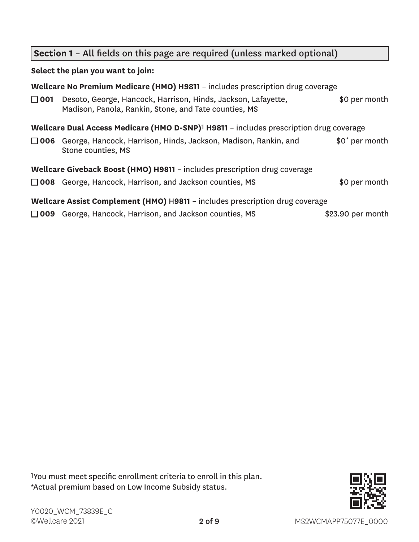# **Section 1** – All fields on this page are required (unless marked optional)

#### **Select the plan you want to join:**

|            | Wellcare No Premium Medicare (HMO) H9811 - includes prescription drug coverage                                         |                            |
|------------|------------------------------------------------------------------------------------------------------------------------|----------------------------|
| $\Box$ 001 | Desoto, George, Hancock, Harrison, Hinds, Jackson, Lafayette,<br>Madison, Panola, Rankin, Stone, and Tate counties, MS | \$0 per month              |
|            | Wellcare Dual Access Medicare (HMO D-SNP) <sup>1</sup> H9811 - includes prescription drug coverage                     |                            |
|            | □ 006 George, Hancock, Harrison, Hinds, Jackson, Madison, Rankin, and<br>Stone counties, MS                            | \$0 <sup>*</sup> per month |
|            | Wellcare Giveback Boost (HMO) H9811 - includes prescription drug coverage                                              |                            |
|            | $\Box$ 008 George, Hancock, Harrison, and Jackson counties, MS                                                         | \$0 per month              |
|            | Wellcare Assist Complement (HMO) H9811 - includes prescription drug coverage                                           |                            |
|            | $\Box$ 009 George, Hancock, Harrison, and Jackson counties, MS                                                         | \$23.90 per month          |

1You must meet specific enrollment criteria to enroll in this plan. \*Actual premium based on Low Income Subsidy status.

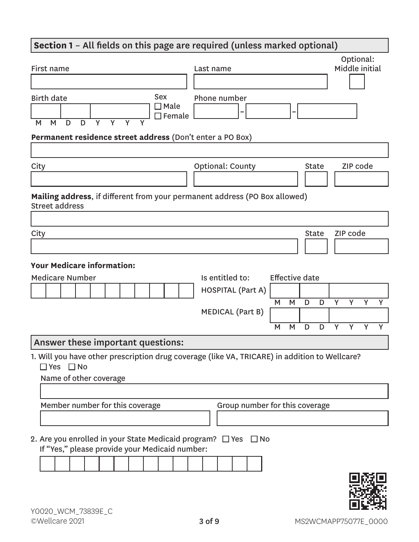# **Section 1** – All fields on this page are required (unless marked optional) First name Last name Optional: Middle initial Birth date M M D D Y Y Y Y Sex ■ Male  $\Box$  Female Phone number **– – Permanent residence street address** (Don't enter a PO Box) City City City Context County City City City City City City City Code **Mailing address**, if different from your permanent address (PO Box allowed) Street address City and the Community of the Community of the Community of the Community of the Community of the Community of **Your Medicare information:** Medicare Number **Is entitled to:** Effective date HOSPITAL (Part A) M M D D Y Y Y Y MEDICAL (Part B) M M D D Y Y Y Y Answer these important questions: 1. Will you have other prescription drug coverage (like VA, TRICARE) in addition to Wellcare?

■ Yes ■ No

Name of other coverage Member number for this coverage Group number for this coverage 2. Are you enrolled in your State Medicaid program?  $\Box$  Yes  $\Box$  No

- - If "Yes," please provide your Medicaid number:

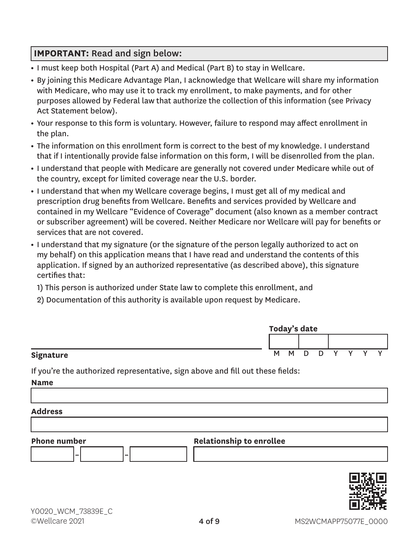# **IMPORTANT:** Read and sign below:

- **•** I must keep both Hospital (Part A) and Medical (Part B) to stay in Wellcare.
- **•** By joining this Medicare Advantage Plan, I acknowledge that Wellcare will share my information with Medicare, who may use it to track my enrollment, to make payments, and for other purposes allowed by Federal law that authorize the collection of this information (see Privacy Act Statement below).
- **•** Your response to this form is voluntary. However, failure to respond may affect enrollment in the plan.
- **•** The information on this enrollment form is correct to the best of my knowledge. I understand that if I intentionally provide false information on this form, I will be disenrolled from the plan.
- **•** I understand that people with Medicare are generally not covered under Medicare while out of the country, except for limited coverage near the U.S. border.
- **•** I understand that when my Wellcare coverage begins, I must get all of my medical and prescription drug benefits from Wellcare. Benefits and services provided by Wellcare and contained in my Wellcare "Evidence of Coverage" document (also known as a member contract or subscriber agreement) will be covered. Neither Medicare nor Wellcare will pay for benefits or services that are not covered.
- **•** I understand that my signature (or the signature of the person legally authorized to act on my behalf) on this application means that I have read and understand the contents of this application. If signed by an authorized representative (as described above), this signature certifies that:

1) This person is authorized under State law to complete this enrollment, and

2) Documentation of this authority is available upon request by Medicare.

|           | Today's date |     |        |   |              |  |  |  |
|-----------|--------------|-----|--------|---|--------------|--|--|--|
|           |              |     |        |   |              |  |  |  |
| Signature |              | M M | $\Box$ | D | $\checkmark$ |  |  |  |

If you're the authorized representative, sign above and fill out these fields:

**Name**

#### **Address**



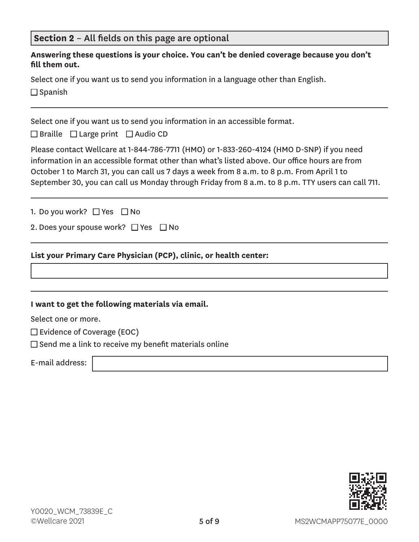| Section 2 - All fields on this page are optional |  |
|--------------------------------------------------|--|
|--------------------------------------------------|--|

|                | Answering these questions is your choice. You can't be denied coverage because you don't |
|----------------|------------------------------------------------------------------------------------------|
| fill them out. |                                                                                          |

Select one if you want us to send you information in a language other than English.  $\square$  Spanish

Select one if you want us to send you information in an accessible format.

 $\Box$  Braille  $\Box$  Large print  $\Box$  Audio CD

Please contact Wellcare at 1-844-786-7711 (HMO) or 1-833-260-4124 (HMO D-SNP) if you need information in an accessible format other than what's listed above. Our office hours are from October 1 to March 31, you can call us 7 days a week from 8 a.m. to 8 p.m. From April 1 to September 30, you can call us Monday through Friday from 8 a.m. to 8 p.m. TTY users can call 711.

1. Do you work?  $\Box$  Yes  $\Box$  No

2. Does your spouse work?  $\Box$  Yes  $\Box$  No

#### **List your Primary Care Physician (PCP), clinic, or health center:**

#### **I want to get the following materials via email.**

Select one or more.

 $\square$  Evidence of Coverage (EOC)

 $\square$  Send me a link to receive my benefit materials online

E-mail address:

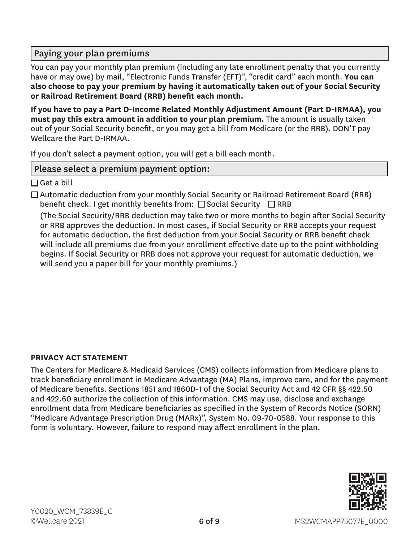# Paying your plan premiums

You can pay your monthly plan premium (including any late enrollment penalty that you currently have or may owe) by mail, "Electronic Funds Transfer (EFT)", "credit card" each month. **You can also choose to pay your premium by having it automatically taken out of your Social Security or Railroad Retirement Board (RRB) benefit each month.**

**If you have to pay a Part D-Income Related Monthly Adjustment Amount (Part D-IRMAA), you must pay this extra amount in addition to your plan premium.** The amount is usually taken out of your Social Security benefit, or you may get a bill from Medicare (or the RRB). DON'T pay Wellcare the Part D-IRMAA.

If you don't select a payment option, you will get a bill each month.

# Please select a premium payment option:

 $\Box$  Get a bill

 $\Box$  Automatic deduction from your monthly Social Security or Railroad Retirement Board (RRB) benefit check. I get monthly benefits from:  $\square$  Social Security  $\square$  RRB

(The Social Security/RRB deduction may take two or more months to begin after Social Security or RRB approves the deduction. In most cases, if Social Security or RRB accepts your request for automatic deduction, the first deduction from your Social Security or RRB benefit check will include all premiums due from your enrollment effective date up to the point withholding begins. If Social Security or RRB does not approve your request for automatic deduction, we will send you a paper bill for your monthly premiums.)

# **PRIVACY ACT STATEMENT**

The Centers for Medicare & Medicaid Services (CMS) collects information from Medicare plans to track beneficiary enrollment in Medicare Advantage (MA) Plans, improve care, and for the payment of Medicare benefits. Sections 1851 and 1860D-1 of the Social Security Act and 42 CFR §§ 422.50 and 422.60 authorize the collection of this information. CMS may use, disclose and exchange enrollment data from Medicare beneficiaries as specified in the System of Records Notice (SORN) "Medicare Advantage Prescription Drug (MARx)", System No. 09-70-0588. Your response to this form is voluntary. However, failure to respond may affect enrollment in the plan.

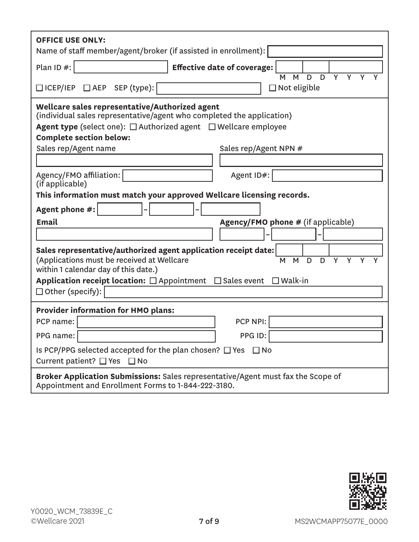| <b>OFFICE USE ONLY:</b><br>Name of staff member/agent/broker (if assisted in enrollment):                                                                                                                                                                                                      |  |  |  |  |  |  |
|------------------------------------------------------------------------------------------------------------------------------------------------------------------------------------------------------------------------------------------------------------------------------------------------|--|--|--|--|--|--|
| Plan ID #:<br><b>Effective date of coverage:</b><br>$\overline{D}$<br>Y<br>D<br>Y<br>M                                                                                                                                                                                                         |  |  |  |  |  |  |
| M<br>Y<br>□ ICEP/IEP □ AEP SEP (type):<br>$\Box$ Not eligible                                                                                                                                                                                                                                  |  |  |  |  |  |  |
| Wellcare sales representative/Authorized agent<br>(individual sales representative/agent who completed the application)<br><b>Agent type</b> (select one): $\Box$ Authorized agent $\Box$ Wellcare employee<br><b>Complete section below:</b><br>Sales rep/Agent name<br>Sales rep/Agent NPN # |  |  |  |  |  |  |
|                                                                                                                                                                                                                                                                                                |  |  |  |  |  |  |
| Agency/FMO affiliation:<br>Agent ID#:                                                                                                                                                                                                                                                          |  |  |  |  |  |  |
| (if applicable)<br>This information must match your approved Wellcare licensing records.                                                                                                                                                                                                       |  |  |  |  |  |  |
| Agent phone #:                                                                                                                                                                                                                                                                                 |  |  |  |  |  |  |
| <b>Email</b><br><b>Agency/FMO phone # (if applicable)</b>                                                                                                                                                                                                                                      |  |  |  |  |  |  |
|                                                                                                                                                                                                                                                                                                |  |  |  |  |  |  |
| Sales representative/authorized agent application receipt date:<br>(Applications must be received at Wellcare<br>M<br>D<br>Y<br>Y<br>D<br>Y<br>M<br>within 1 calendar day of this date.)                                                                                                       |  |  |  |  |  |  |
| Application receipt location: □ Appointment □ Sales event □ Walk-in                                                                                                                                                                                                                            |  |  |  |  |  |  |
| $\Box$ Other (specify):                                                                                                                                                                                                                                                                        |  |  |  |  |  |  |
| <b>Provider information for HMO plans:</b>                                                                                                                                                                                                                                                     |  |  |  |  |  |  |
| PCP NPI:<br>PCP name:                                                                                                                                                                                                                                                                          |  |  |  |  |  |  |
| PPG ID:<br>PPG name:                                                                                                                                                                                                                                                                           |  |  |  |  |  |  |
| Is PCP/PPG selected accepted for the plan chosen? $\Box$ Yes $\Box$ No<br>Current patient? $\Box$ Yes $\Box$ No                                                                                                                                                                                |  |  |  |  |  |  |
| Broker Application Submissions: Sales representative/Agent must fax the Scope of<br>Appointment and Enrollment Forms to 1-844-222-3180.                                                                                                                                                        |  |  |  |  |  |  |

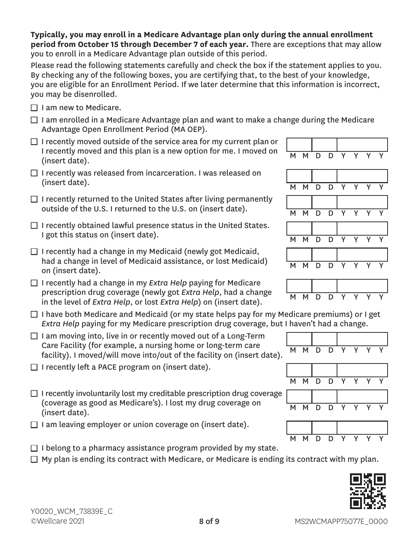**Typically, you may enroll in a Medicare Advantage plan only during the annual enrollment period from October 15 through December 7 of each year.** There are exceptions that may allow you to enroll in a Medicare Advantage plan outside of this period.

Please read the following statements carefully and check the box if the statement applies to you. By checking any of the following boxes, you are certifying that, to the best of your knowledge, you are eligible for an Enrollment Period. If we later determine that this information is incorrect, you may be disenrolled.

- $\Box$  I am new to Medicare.
- $\Box$  I am enrolled in a Medicare Advantage plan and want to make a change during the Medicare Advantage Open Enrollment Period (MA OEP).
- $\Box$  I recently moved outside of the service area for my current plan or I recently moved and this plan is a new option for me. I moved on  $\begin{array}{|l|} \hline \text{M} & \text{M} & \text{D} & \text{D} & \text{Y} & \text{Y} & \text{Y} & \text{Y} \ \hline \text{(insert date)}. \hline \end{array}$
- $\Box$  I recently was released from incarceration. I was released on (insert date).  $\begin{array}{ccccccc}\n& & & & & & & \n\hline\n& & & & & & & & \n\end{array}$  M M D D Y Y Y Y
- $\Box$  I recently returned to the United States after living permanently outside of the U.S. I returned to the U.S. on (insert date).  $M \times N$   $N \times N$
- $\Box$  I recently obtained lawful presence status in the United States. I got this status on (insert date).  $M \cup N$  M  $N \cup N$  D
- $\Box$  I recently had a change in my Medicaid (newly got Medicaid, had a change in level of Medicaid assistance, or lost Medicaid) <br>on (insert date). M M D D Y Y Y Y
- □ I recently had a change in my *Extra Help* paying for Medicare prescription drug coverage (newly got *Extra Help*, had a change prescription and *coverage* (newly got *Extra Help*, had a change MMMDD D in the level of *Extra Help*, or lost *Extra Help*) on (insert date).
- $\Box$  I have both Medicare and Medicaid (or my state helps pay for my Medicare premiums) or I get *Extra Help* paying for my Medicare prescription drug coverage, but I haven't had a change.
- $\Box$  I am moving into, live in or recently moved out of a Long-Term Care Facility (for example, a nursing home or long-term care Care ractity (for example, a hursing nome of long-term care  $\overline{M}$  M D D Y Y Y Y  $\overline{Y}$  facility). I moved/will move into/out of the facility on (insert date).
- $\Box$  I recently left a PACE program on (insert date).
- $\Box$  I recently involuntarily lost my creditable prescription drug coverage (coverage as good as Medicare's). I lost my drug coverage on <br>(insert date). M M D D Y Y Y Y
- $\Box$  I am leaving employer or union coverage on (insert date).
- $\Box$  I belong to a pharmacy assistance program provided by my state.  $\Box$  My plan is ending its contract with Medicare, or Medicare is ending its contract with my plan.